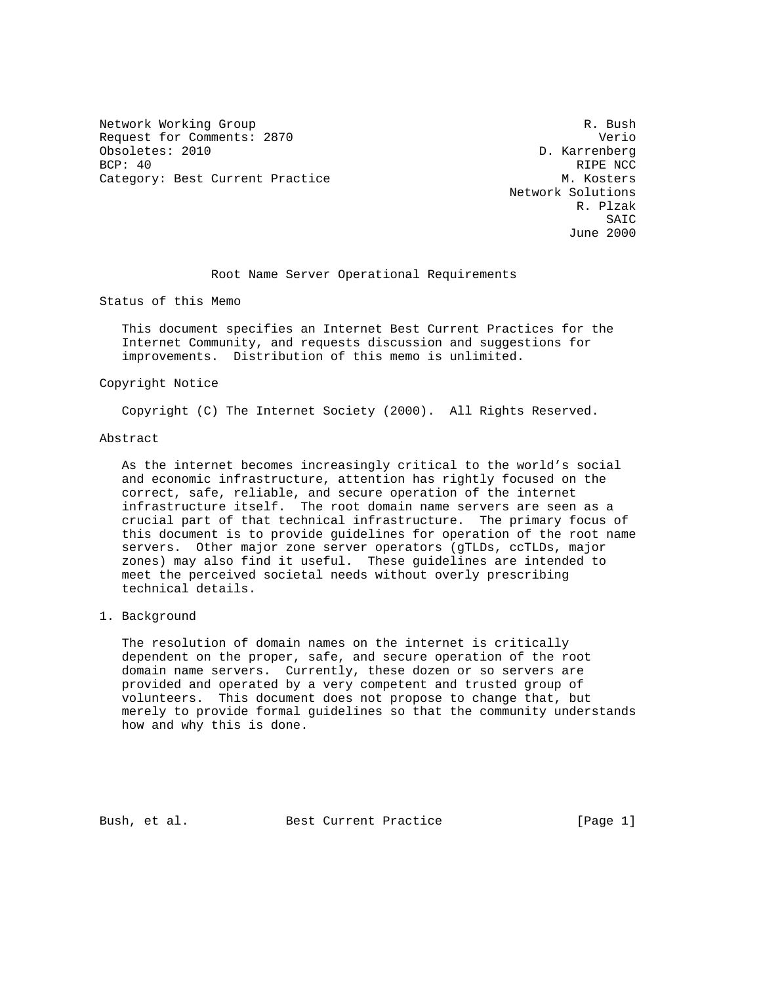Network Working Group and the set of the set of the set of the set of the set of the set of the set of the set of the set of the set of the set of the set of the set of the set of the set of the set of the set of the set o Request for Comments: 2870 Verio Obsoletes: 2010 D. Karrenberg BCP: 40 RIPE NCC Category: Best Current Practice M. Kosters

 Network Solutions R. Plzak SAIC June 2000

Root Name Server Operational Requirements

Status of this Memo

 This document specifies an Internet Best Current Practices for the Internet Community, and requests discussion and suggestions for improvements. Distribution of this memo is unlimited.

### Copyright Notice

Copyright (C) The Internet Society (2000). All Rights Reserved.

#### Abstract

 As the internet becomes increasingly critical to the world's social and economic infrastructure, attention has rightly focused on the correct, safe, reliable, and secure operation of the internet infrastructure itself. The root domain name servers are seen as a crucial part of that technical infrastructure. The primary focus of this document is to provide guidelines for operation of the root name servers. Other major zone server operators (gTLDs, ccTLDs, major zones) may also find it useful. These guidelines are intended to meet the perceived societal needs without overly prescribing technical details.

### 1. Background

 The resolution of domain names on the internet is critically dependent on the proper, safe, and secure operation of the root domain name servers. Currently, these dozen or so servers are provided and operated by a very competent and trusted group of volunteers. This document does not propose to change that, but merely to provide formal guidelines so that the community understands how and why this is done.

Bush, et al. Best Current Practice [Page 1]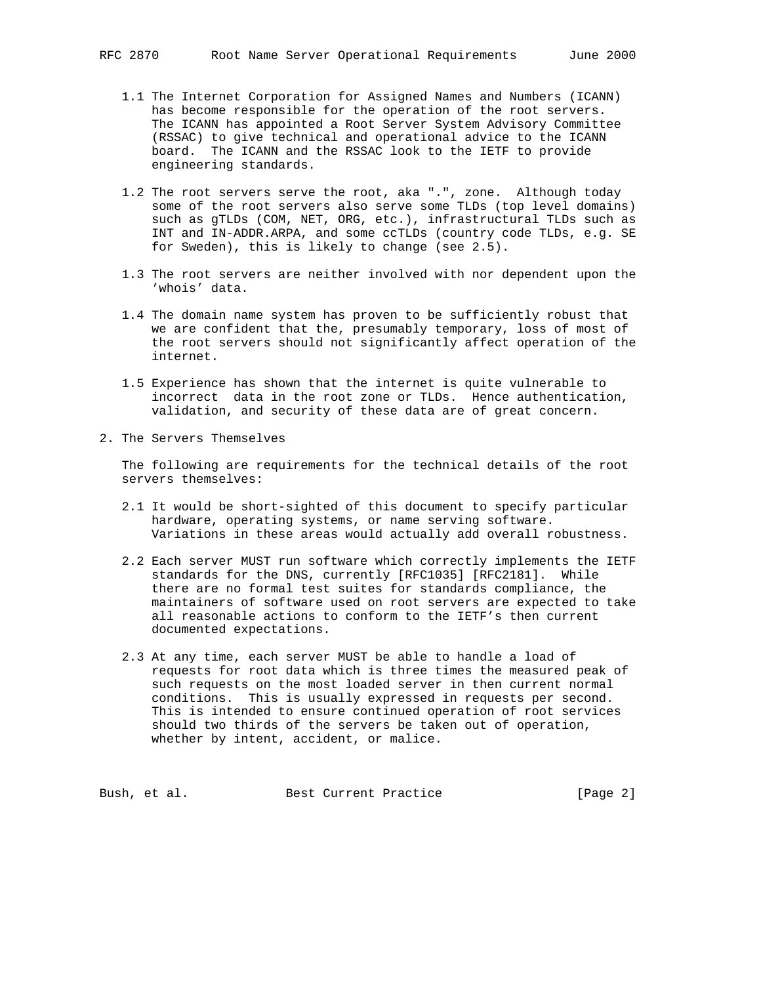- 1.1 The Internet Corporation for Assigned Names and Numbers (ICANN) has become responsible for the operation of the root servers. The ICANN has appointed a Root Server System Advisory Committee (RSSAC) to give technical and operational advice to the ICANN board. The ICANN and the RSSAC look to the IETF to provide engineering standards.
- 1.2 The root servers serve the root, aka ".", zone. Although today some of the root servers also serve some TLDs (top level domains) such as gTLDs (COM, NET, ORG, etc.), infrastructural TLDs such as INT and IN-ADDR.ARPA, and some ccTLDs (country code TLDs, e.g. SE for Sweden), this is likely to change (see 2.5).
- 1.3 The root servers are neither involved with nor dependent upon the 'whois' data.
- 1.4 The domain name system has proven to be sufficiently robust that we are confident that the, presumably temporary, loss of most of the root servers should not significantly affect operation of the internet.
- 1.5 Experience has shown that the internet is quite vulnerable to incorrect data in the root zone or TLDs. Hence authentication, validation, and security of these data are of great concern.
- 2. The Servers Themselves

 The following are requirements for the technical details of the root servers themselves:

- 2.1 It would be short-sighted of this document to specify particular hardware, operating systems, or name serving software. Variations in these areas would actually add overall robustness.
- 2.2 Each server MUST run software which correctly implements the IETF standards for the DNS, currently [RFC1035] [RFC2181]. While there are no formal test suites for standards compliance, the maintainers of software used on root servers are expected to take all reasonable actions to conform to the IETF's then current documented expectations.
- 2.3 At any time, each server MUST be able to handle a load of requests for root data which is three times the measured peak of such requests on the most loaded server in then current normal conditions. This is usually expressed in requests per second. This is intended to ensure continued operation of root services should two thirds of the servers be taken out of operation, whether by intent, accident, or malice.

Bush, et al. Best Current Practice [Page 2]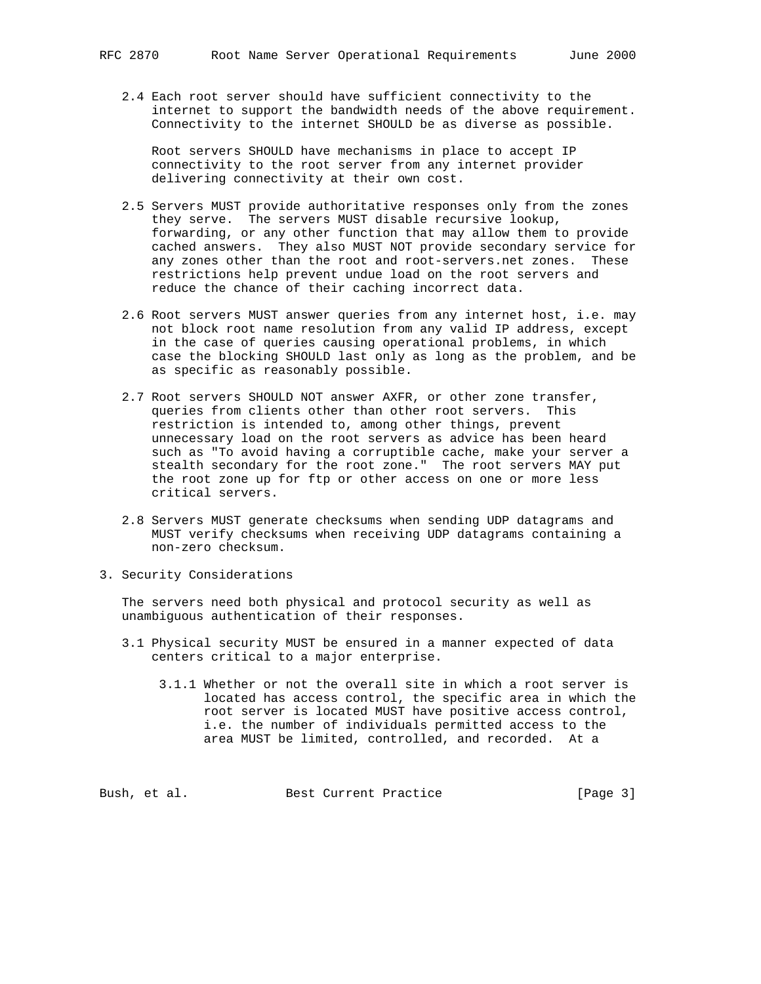2.4 Each root server should have sufficient connectivity to the internet to support the bandwidth needs of the above requirement. Connectivity to the internet SHOULD be as diverse as possible.

 Root servers SHOULD have mechanisms in place to accept IP connectivity to the root server from any internet provider delivering connectivity at their own cost.

- 2.5 Servers MUST provide authoritative responses only from the zones they serve. The servers MUST disable recursive lookup, forwarding, or any other function that may allow them to provide cached answers. They also MUST NOT provide secondary service for any zones other than the root and root-servers.net zones. These restrictions help prevent undue load on the root servers and reduce the chance of their caching incorrect data.
- 2.6 Root servers MUST answer queries from any internet host, i.e. may not block root name resolution from any valid IP address, except in the case of queries causing operational problems, in which case the blocking SHOULD last only as long as the problem, and be as specific as reasonably possible.
- 2.7 Root servers SHOULD NOT answer AXFR, or other zone transfer, queries from clients other than other root servers. This restriction is intended to, among other things, prevent unnecessary load on the root servers as advice has been heard such as "To avoid having a corruptible cache, make your server a stealth secondary for the root zone." The root servers MAY put the root zone up for ftp or other access on one or more less critical servers.
- 2.8 Servers MUST generate checksums when sending UDP datagrams and MUST verify checksums when receiving UDP datagrams containing a non-zero checksum.
- 3. Security Considerations

 The servers need both physical and protocol security as well as unambiguous authentication of their responses.

- 3.1 Physical security MUST be ensured in a manner expected of data centers critical to a major enterprise.
	- 3.1.1 Whether or not the overall site in which a root server is located has access control, the specific area in which the root server is located MUST have positive access control, i.e. the number of individuals permitted access to the area MUST be limited, controlled, and recorded. At a

Bush, et al. Best Current Practice [Page 3]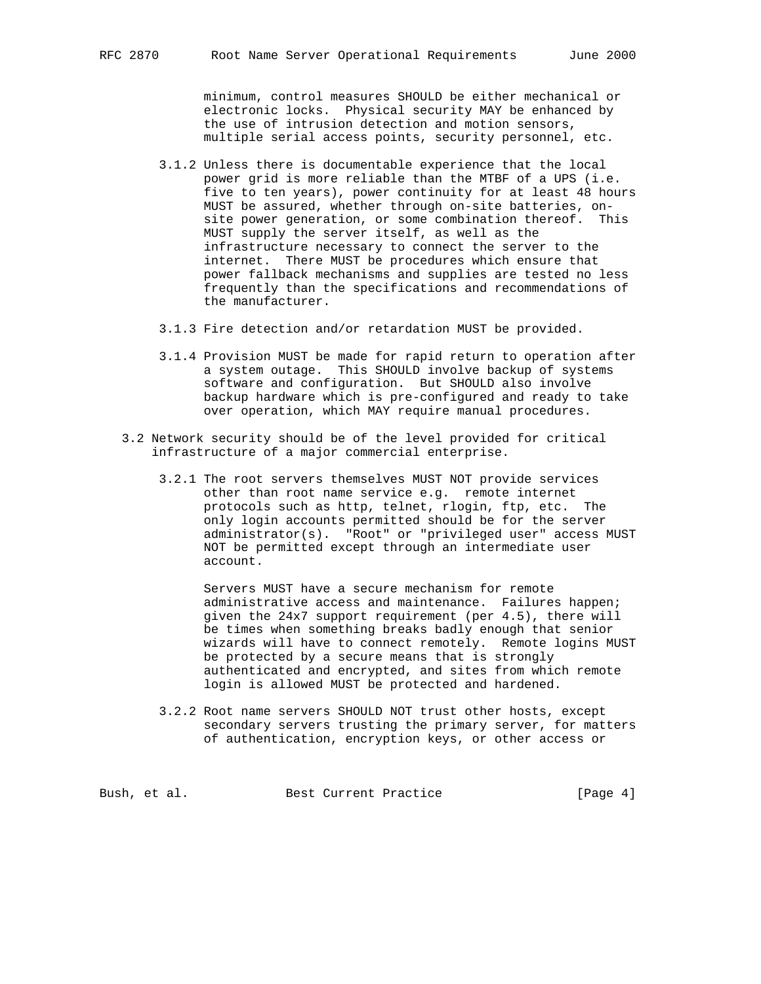minimum, control measures SHOULD be either mechanical or electronic locks. Physical security MAY be enhanced by the use of intrusion detection and motion sensors, multiple serial access points, security personnel, etc.

- 3.1.2 Unless there is documentable experience that the local power grid is more reliable than the MTBF of a UPS (i.e. five to ten years), power continuity for at least 48 hours MUST be assured, whether through on-site batteries, on site power generation, or some combination thereof. This MUST supply the server itself, as well as the infrastructure necessary to connect the server to the internet. There MUST be procedures which ensure that power fallback mechanisms and supplies are tested no less frequently than the specifications and recommendations of the manufacturer.
- 3.1.3 Fire detection and/or retardation MUST be provided.
- 3.1.4 Provision MUST be made for rapid return to operation after a system outage. This SHOULD involve backup of systems software and configuration. But SHOULD also involve backup hardware which is pre-configured and ready to take over operation, which MAY require manual procedures.
- 3.2 Network security should be of the level provided for critical infrastructure of a major commercial enterprise.
	- 3.2.1 The root servers themselves MUST NOT provide services other than root name service e.g. remote internet protocols such as http, telnet, rlogin, ftp, etc. The only login accounts permitted should be for the server administrator(s). "Root" or "privileged user" access MUST NOT be permitted except through an intermediate user account.

 Servers MUST have a secure mechanism for remote administrative access and maintenance. Failures happen; given the 24x7 support requirement (per 4.5), there will be times when something breaks badly enough that senior wizards will have to connect remotely. Remote logins MUST be protected by a secure means that is strongly authenticated and encrypted, and sites from which remote login is allowed MUST be protected and hardened.

 3.2.2 Root name servers SHOULD NOT trust other hosts, except secondary servers trusting the primary server, for matters of authentication, encryption keys, or other access or

Bush, et al. Sest Current Practice [Page 4]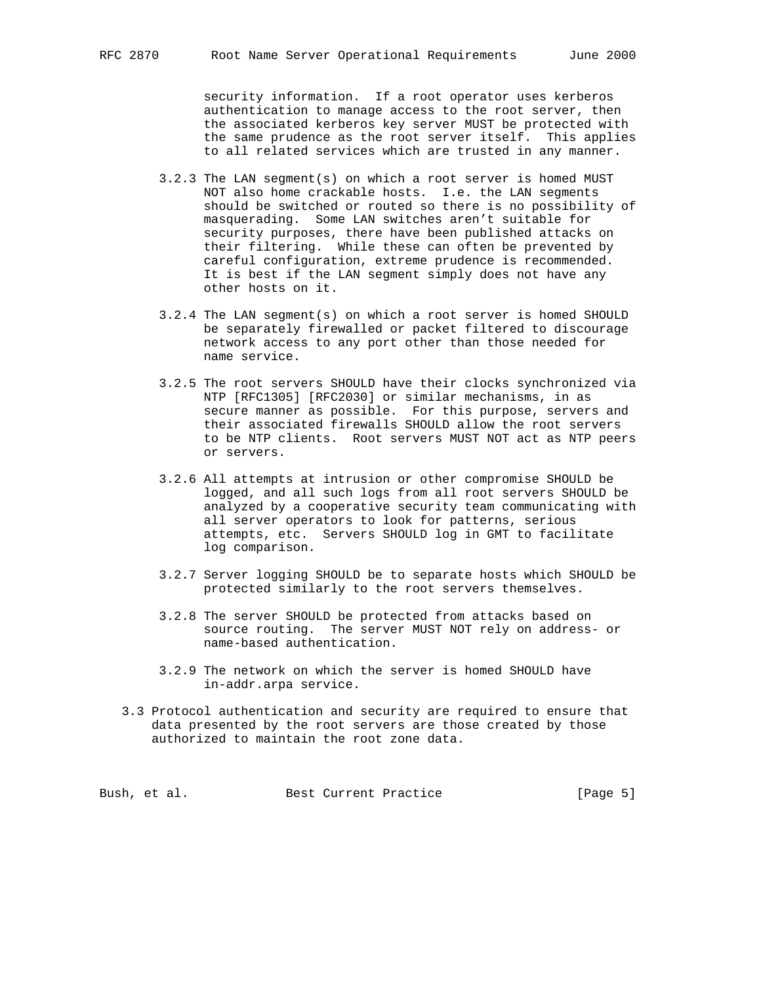security information. If a root operator uses kerberos authentication to manage access to the root server, then the associated kerberos key server MUST be protected with the same prudence as the root server itself. This applies to all related services which are trusted in any manner.

- 3.2.3 The LAN segment(s) on which a root server is homed MUST NOT also home crackable hosts. I.e. the LAN segments should be switched or routed so there is no possibility of masquerading. Some LAN switches aren't suitable for security purposes, there have been published attacks on their filtering. While these can often be prevented by careful configuration, extreme prudence is recommended. It is best if the LAN segment simply does not have any other hosts on it.
- 3.2.4 The LAN segment(s) on which a root server is homed SHOULD be separately firewalled or packet filtered to discourage network access to any port other than those needed for name service.
- 3.2.5 The root servers SHOULD have their clocks synchronized via NTP [RFC1305] [RFC2030] or similar mechanisms, in as secure manner as possible. For this purpose, servers and their associated firewalls SHOULD allow the root servers to be NTP clients. Root servers MUST NOT act as NTP peers or servers.
- 3.2.6 All attempts at intrusion or other compromise SHOULD be logged, and all such logs from all root servers SHOULD be analyzed by a cooperative security team communicating with all server operators to look for patterns, serious attempts, etc. Servers SHOULD log in GMT to facilitate log comparison.
- 3.2.7 Server logging SHOULD be to separate hosts which SHOULD be protected similarly to the root servers themselves.
- 3.2.8 The server SHOULD be protected from attacks based on source routing. The server MUST NOT rely on address- or name-based authentication.
- 3.2.9 The network on which the server is homed SHOULD have in-addr.arpa service.
- 3.3 Protocol authentication and security are required to ensure that data presented by the root servers are those created by those authorized to maintain the root zone data.

Bush, et al. Sest Current Practice [Page 5]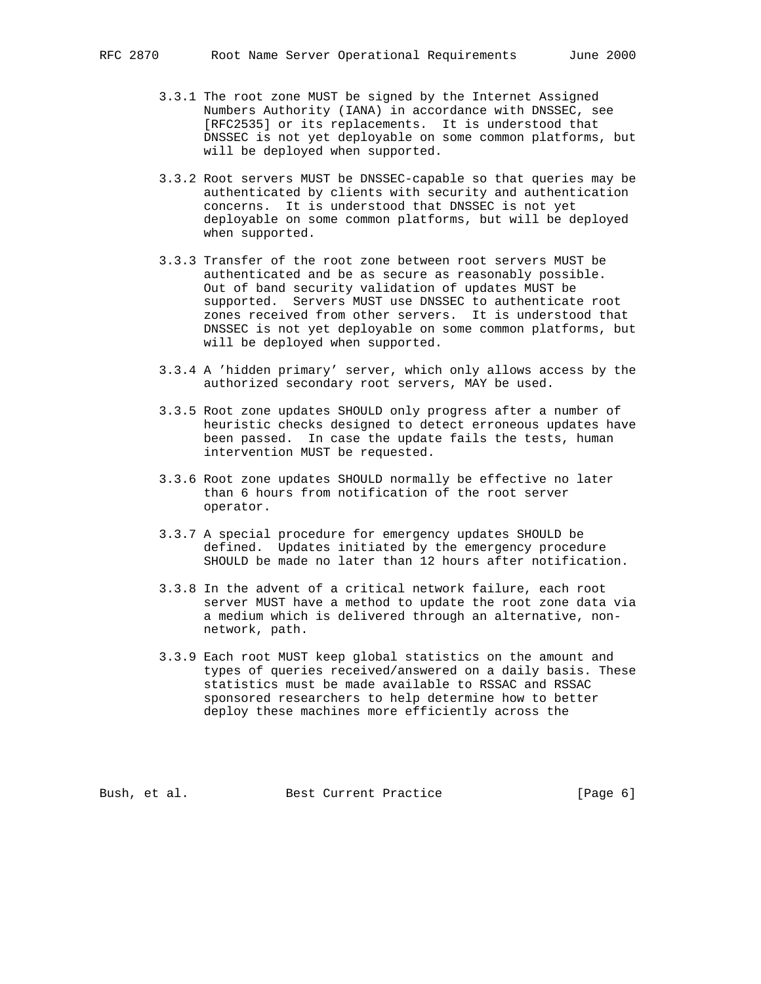- 3.3.1 The root zone MUST be signed by the Internet Assigned Numbers Authority (IANA) in accordance with DNSSEC, see [RFC2535] or its replacements. It is understood that DNSSEC is not yet deployable on some common platforms, but will be deployed when supported.
- 3.3.2 Root servers MUST be DNSSEC-capable so that queries may be authenticated by clients with security and authentication concerns. It is understood that DNSSEC is not yet deployable on some common platforms, but will be deployed when supported.
- 3.3.3 Transfer of the root zone between root servers MUST be authenticated and be as secure as reasonably possible. Out of band security validation of updates MUST be supported. Servers MUST use DNSSEC to authenticate root zones received from other servers. It is understood that DNSSEC is not yet deployable on some common platforms, but will be deployed when supported.
- 3.3.4 A 'hidden primary' server, which only allows access by the authorized secondary root servers, MAY be used.
- 3.3.5 Root zone updates SHOULD only progress after a number of heuristic checks designed to detect erroneous updates have been passed. In case the update fails the tests, human intervention MUST be requested.
- 3.3.6 Root zone updates SHOULD normally be effective no later than 6 hours from notification of the root server operator.
- 3.3.7 A special procedure for emergency updates SHOULD be defined. Updates initiated by the emergency procedure SHOULD be made no later than 12 hours after notification.
- 3.3.8 In the advent of a critical network failure, each root server MUST have a method to update the root zone data via a medium which is delivered through an alternative, non network, path.
- 3.3.9 Each root MUST keep global statistics on the amount and types of queries received/answered on a daily basis. These statistics must be made available to RSSAC and RSSAC sponsored researchers to help determine how to better deploy these machines more efficiently across the

Bush, et al. Best Current Practice [Page 6]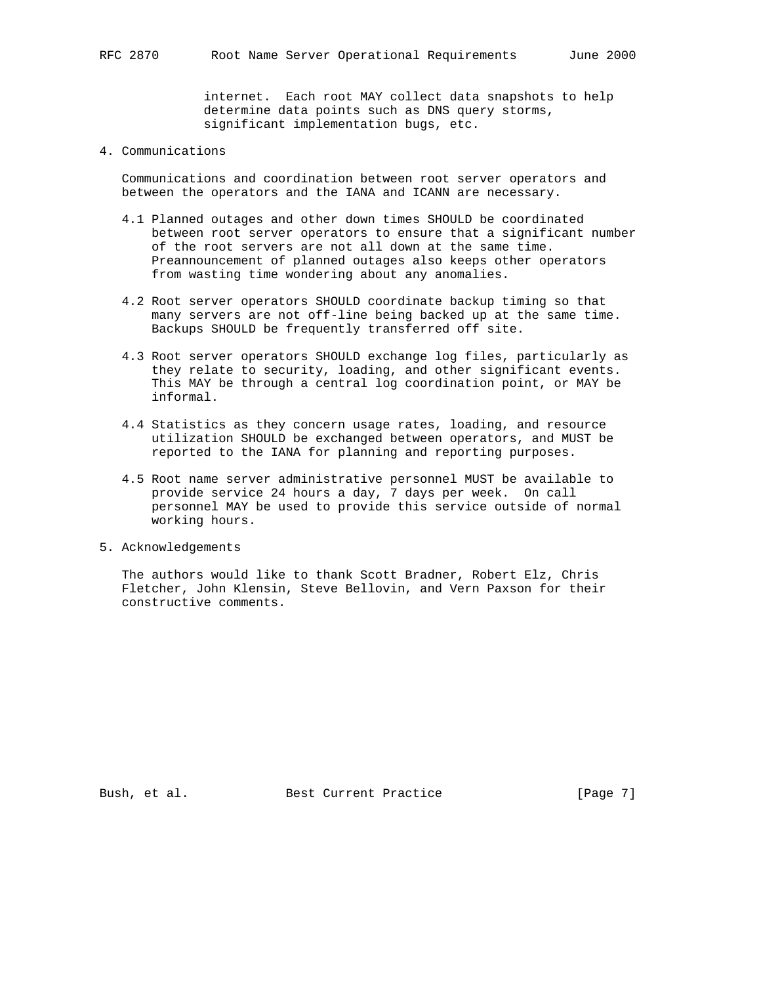internet. Each root MAY collect data snapshots to help determine data points such as DNS query storms, significant implementation bugs, etc.

### 4. Communications

 Communications and coordination between root server operators and between the operators and the IANA and ICANN are necessary.

- 4.1 Planned outages and other down times SHOULD be coordinated between root server operators to ensure that a significant number of the root servers are not all down at the same time. Preannouncement of planned outages also keeps other operators from wasting time wondering about any anomalies.
- 4.2 Root server operators SHOULD coordinate backup timing so that many servers are not off-line being backed up at the same time. Backups SHOULD be frequently transferred off site.
- 4.3 Root server operators SHOULD exchange log files, particularly as they relate to security, loading, and other significant events. This MAY be through a central log coordination point, or MAY be informal.
- 4.4 Statistics as they concern usage rates, loading, and resource utilization SHOULD be exchanged between operators, and MUST be reported to the IANA for planning and reporting purposes.
- 4.5 Root name server administrative personnel MUST be available to provide service 24 hours a day, 7 days per week. On call personnel MAY be used to provide this service outside of normal working hours.
- 5. Acknowledgements

 The authors would like to thank Scott Bradner, Robert Elz, Chris Fletcher, John Klensin, Steve Bellovin, and Vern Paxson for their constructive comments.

Bush, et al. Best Current Practice [Page 7]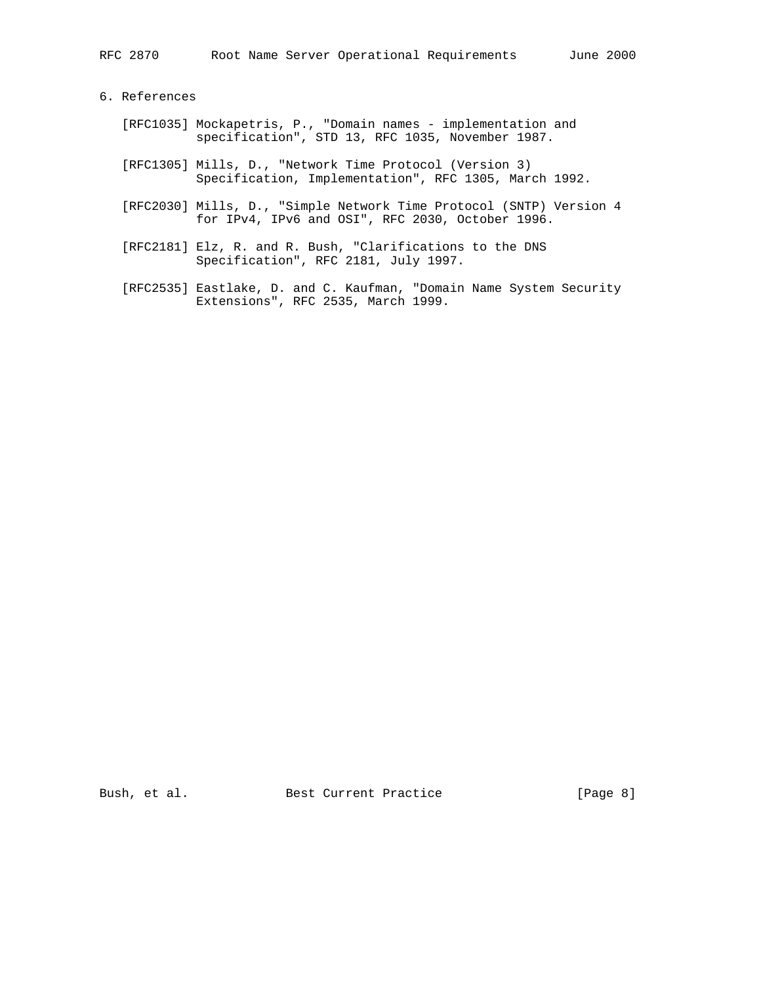# 6. References

- [RFC1035] Mockapetris, P., "Domain names implementation and specification", STD 13, RFC 1035, November 1987.
- [RFC1305] Mills, D., "Network Time Protocol (Version 3) Specification, Implementation", RFC 1305, March 1992.
- [RFC2030] Mills, D., "Simple Network Time Protocol (SNTP) Version 4 for IPv4, IPv6 and OSI", RFC 2030, October 1996.
- [RFC2181] Elz, R. and R. Bush, "Clarifications to the DNS Specification", RFC 2181, July 1997.
- [RFC2535] Eastlake, D. and C. Kaufman, "Domain Name System Security Extensions", RFC 2535, March 1999.

Bush, et al. Best Current Practice [Page 8]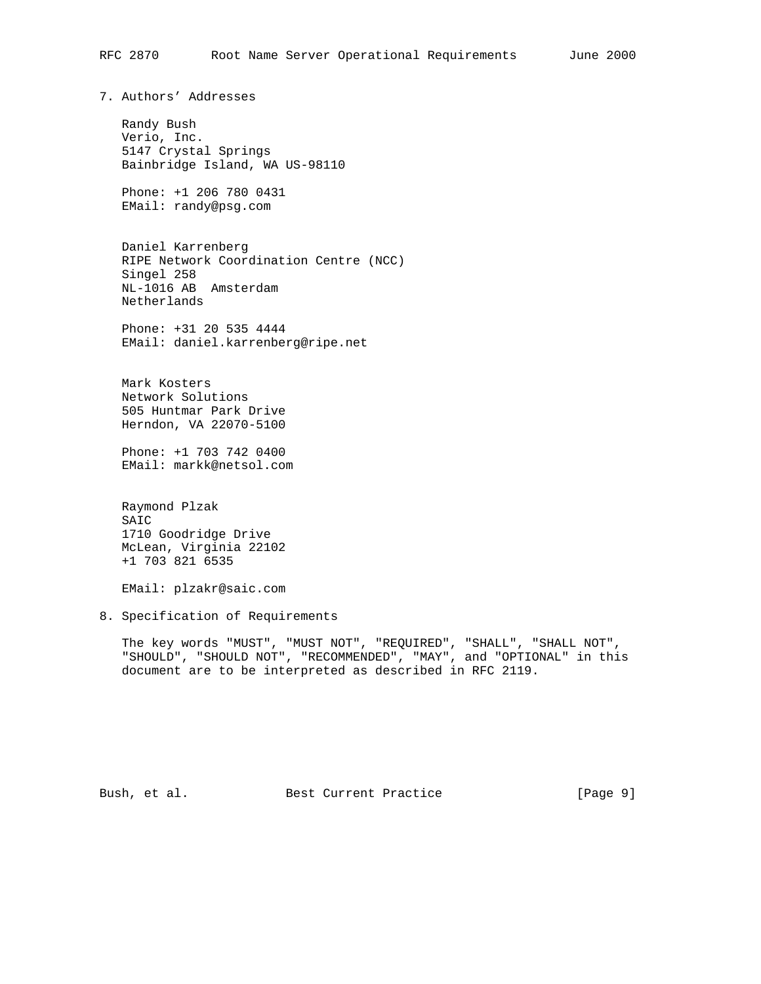7. Authors' Addresses

 Randy Bush Verio, Inc. 5147 Crystal Springs Bainbridge Island, WA US-98110

 Phone: +1 206 780 0431 EMail: randy@psg.com

 Daniel Karrenberg RIPE Network Coordination Centre (NCC) Singel 258 NL-1016 AB Amsterdam Netherlands

 Phone: +31 20 535 4444 EMail: daniel.karrenberg@ripe.net

 Mark Kosters Network Solutions 505 Huntmar Park Drive Herndon, VA 22070-5100

 Phone: +1 703 742 0400 EMail: markk@netsol.com

 Raymond Plzak SAIC 1710 Goodridge Drive McLean, Virginia 22102 +1 703 821 6535

EMail: plzakr@saic.com

8. Specification of Requirements

 The key words "MUST", "MUST NOT", "REQUIRED", "SHALL", "SHALL NOT", "SHOULD", "SHOULD NOT", "RECOMMENDED", "MAY", and "OPTIONAL" in this document are to be interpreted as described in RFC 2119.

Bush, et al. Best Current Practice [Page 9]